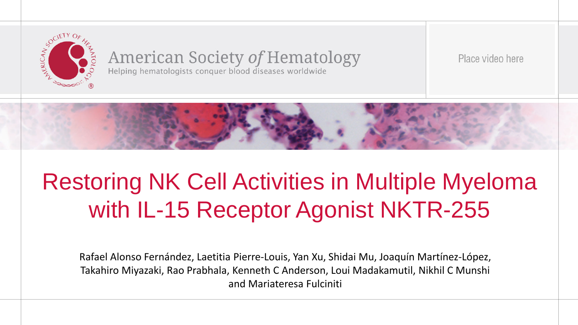

# **American Society of Hematology**<br>Helping hematologists conquer blood diseases worldwide

Place video here



# Restoring NK Cell Activities in Multiple Myeloma with IL-15 Receptor Agonist NKTR-255

Rafael Alonso Fernández, Laetitia Pierre-Louis, Yan Xu, Shidai Mu, Joaquín Martínez-López, Takahiro Miyazaki, Rao Prabhala, Kenneth C Anderson, Loui Madakamutil, Nikhil C Munshi and Mariateresa Fulciniti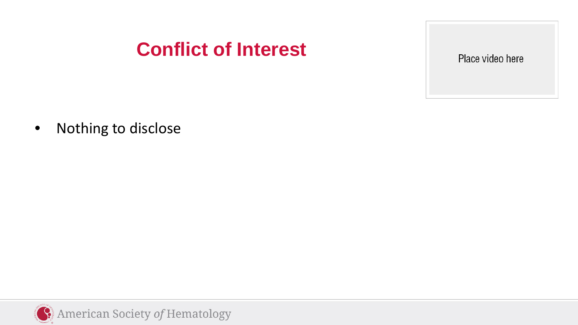## **Conflict of Interest**

Place video here

• Nothing to disclose

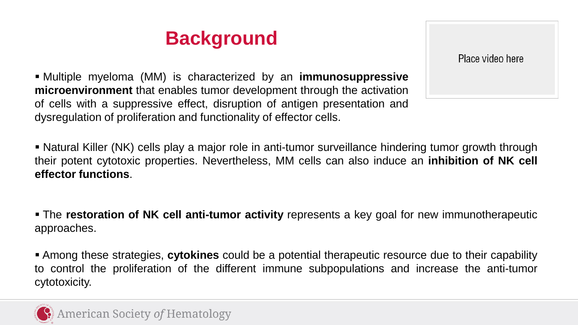## **Background**

Place video here

 Multiple myeloma (MM) is characterized by an **immunosuppressive microenvironment** that enables tumor development through the activation of cells with a suppressive effect, disruption of antigen presentation and dysregulation of proliferation and functionality of effector cells.

 Natural Killer (NK) cells play a major role in anti-tumor surveillance hindering tumor growth through their potent cytotoxic properties. Nevertheless, MM cells can also induce an **inhibition of NK cell effector functions**.

 The **restoration of NK cell anti-tumor activity** represents a key goal for new immunotherapeutic approaches.

 Among these strategies, **cytokines** could be a potential therapeutic resource due to their capability to control the proliferation of the different immune subpopulations and increase the anti-tumor cytotoxicity.

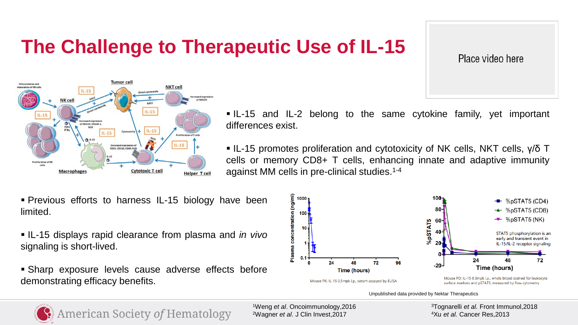## **The Challenge to Therapeutic Use of IL-15**

Place video here



 IL-15 and IL-2 belong to the same cytokine family, yet important differences exist.

• IL-15 promotes proliferation and cytotoxicity of NK cells, NKT cells, γ/δ T cells or memory CD8+ T cells, enhancing innate and adaptive immunity against MM cells in pre-clinical studies. 1-4



- IL-15 displays rapid clearance from plasma and *in vivo* signaling is short-lived.
- Sharp exposure levels cause adverse effects before demonstrating efficacy benefits.



Unpublished data provided by Nektar Therapeutics



**American Society of Hematology** 

1Weng *et al*. Oncoimmunology,2016 2Wagner *et al*. J Clin Invest,2017

3Tognarelli *et al.* Front Immunol,2018 4Xu *et al.* Cancer Res,2013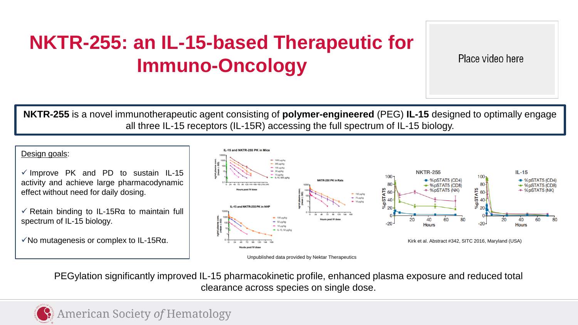## **NKTR-255: an IL-15-based Therapeutic for Immuno-Oncology**

Place video here

**NKTR-255** is a novel immunotherapeutic agent consisting of **polymer-engineered** (PEG) **IL-15** designed to optimally engage all three IL-15 receptors (IL-15R) accessing the full spectrum of IL-15 biology.

Design goals:

- $\checkmark$  Improve PK and PD to sustain IL-15 activity and achieve large pharmacodynamic effect without need for daily dosing.
- $\sqrt{\ }$  Retain binding to IL-15R $\alpha$  to maintain full spectrum of IL-15 biology.

 $\sqrt{}$ No mutagenesis or complex to IL-15R $\alpha$ .





PEGylation significantly improved IL-15 pharmacokinetic profile, enhanced plasma exposure and reduced total clearance across species on single dose.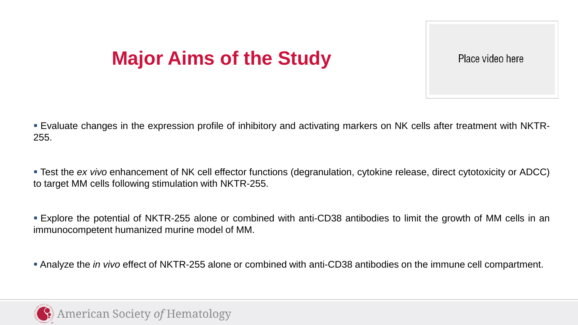## **Major Aims of the Study**

Place video here

 Evaluate changes in the expression profile of inhibitory and activating markers on NK cells after treatment with NKTR-255.

 Test the *ex vivo* enhancement of NK cell effector functions (degranulation, cytokine release, direct cytotoxicity or ADCC) to target MM cells following stimulation with NKTR-255.

 Explore the potential of NKTR-255 alone or combined with anti-CD38 antibodies to limit the growth of MM cells in an immunocompetent humanized murine model of MM.

Analyze the *in vivo* effect of NKTR-255 alone or combined with anti-CD38 antibodies on the immune cell compartment.

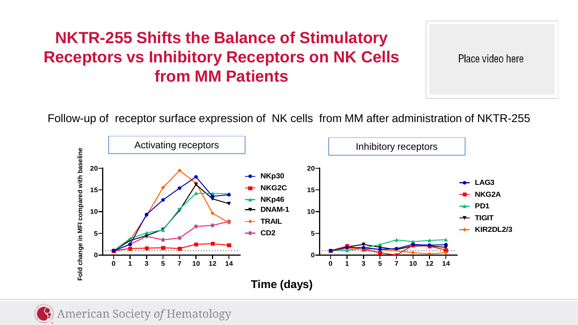#### **NKTR-255 Shifts the Balance of Stimulatory Receptors vs Inhibitory Receptors on NK Cells from MM Patients**

Place video here

Follow-up of receptor surface expression of NK cells from MM after administration of NKTR-255



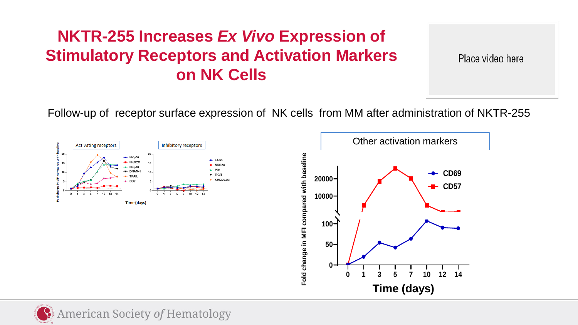#### **NKTR-255 Increases** *Ex Vivo* **Expression of Stimulatory Receptors and Activation Markers on NK Cells**

Place video here

Follow-up of receptor surface expression of NK cells from MM after administration of NKTR-255





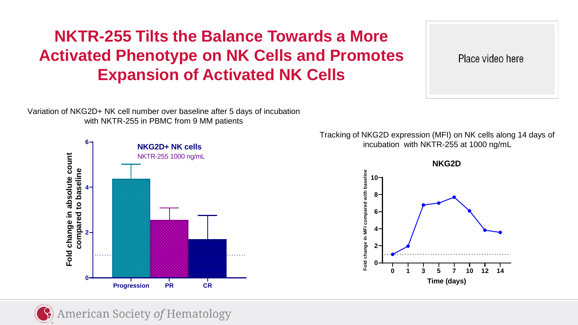#### **NKTR-255 Tilts the Balance Towards a More Activated Phenotype on NK Cells and Promotes Expansion of Activated NK Cells**

Place video here

Variation of NKG2D+ NK cell number over baseline after 5 days of incubation with NKTR-255 in PBMC from 9 MM patients



Tracking of NKG2D expression (MFI) on NK cells along 14 days of incubation with NKTR-255 at 1000 ng/mL



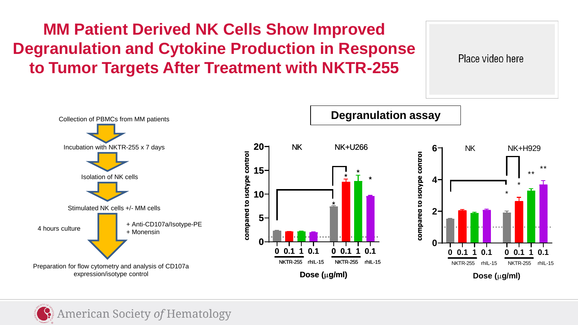**MM Patient Derived NK Cells Show Improved Degranulation and Cytokine Production in Response to Tumor Targets After Treatment with NKTR-255** 



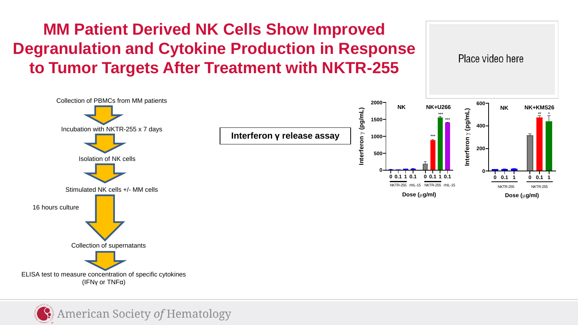### **MM Patient Derived NK Cells Show Improved Degranulation and Cytokine Production in Response to Tumor Targets After Treatment with NKTR-255**



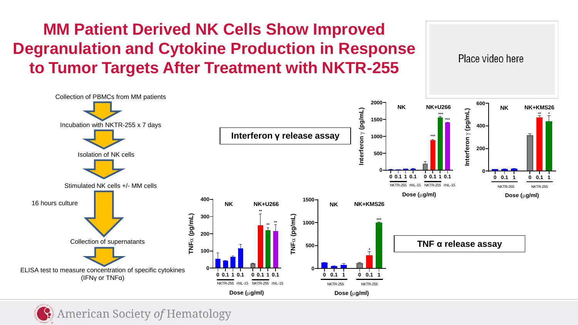### **MM Patient Derived NK Cells Show Improved Degranulation and Cytokine Production in Response to Tumor Targets After Treatment with NKTR-255**

Place video here

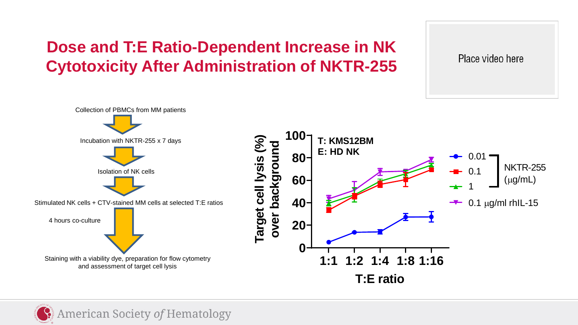### **Dose and T:E Ratio-Dependent Increase in NK Cytotoxicity After Administration of NKTR-255**



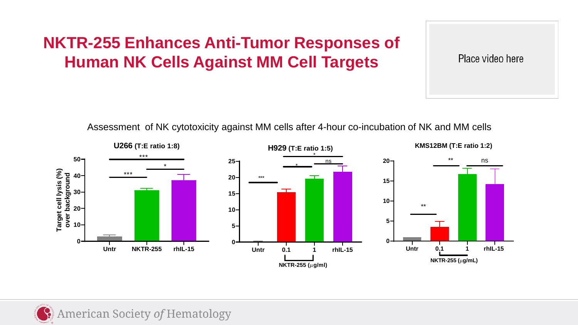#### **NKTR-255 Enhances Anti-Tumor Responses of Human NK Cells Against MM Cell Targets**

Place video here

Assessment of NK cytotoxicity against MM cells after 4-hour co-incubation of NK and MM cells



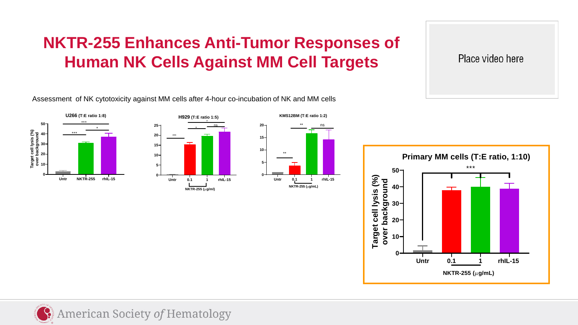#### **NKTR-255 Enhances Anti-Tumor Responses of Human NK Cells Against MM Cell Targets**

Assessment of NK cytotoxicity against MM cells after 4-hour co-incubation of NK and MM cells







**Primary MM cells (T:E ratio, 1:10)** \*\*\* **50 Target cell lysis (%)** Target cell lysis (%) over background **over background 40 30 20 10 0 Untr 0.1 1 rhIL-15 NKTR-255 (**µ**g/mL)**

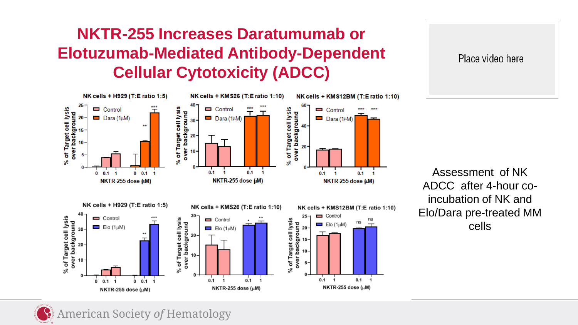#### **NKTR-255 Increases Daratumumab or Elotuzumab-Mediated Antibody-Dependent Cellular Cytotoxicity (ADCC)**



Place video here

Assessment of NK ADCC after 4-hour coincubation of NK and Elo/Dara pre-treated MM cells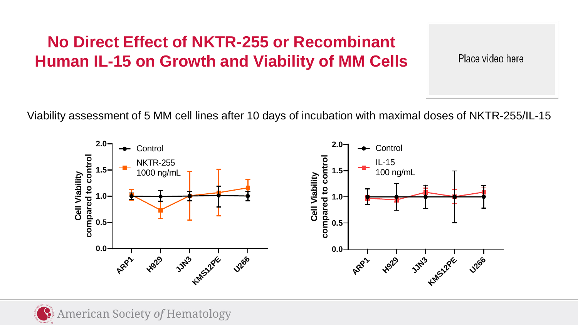#### **No Direct Effect of NKTR-255 or Recombinant Human IL-15 on Growth and Viability of MM Cells**

Place video here

Viability assessment of 5 MM cell lines after 10 days of incubation with maximal doses of NKTR-255/IL-15

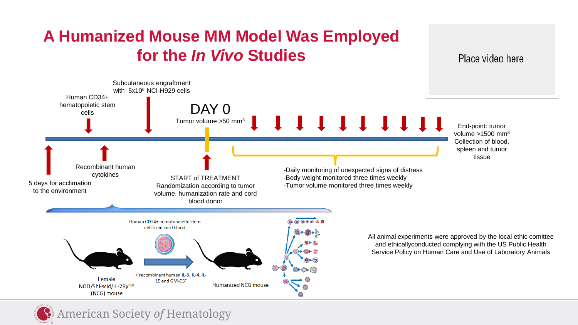### **A Humanized Mouse MM Model Was Employed for the** *In Vivo* **Studies**

Place video here

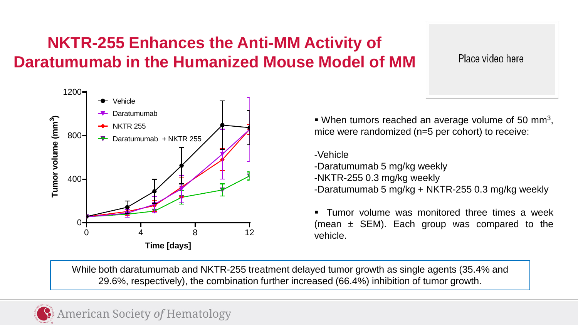#### **NKTR-255 Enhances the Anti-MM Activity of Daratumumab in the Humanized Mouse Model of MM**

Place video here



When tumors reached an average volume of 50 mm<sup>3</sup>, mice were randomized (n=5 per cohort) to receive:

-Vehicle

-Daratumumab 5 mg/kg weekly -NKTR-255 0.3 mg/kg weekly -Daratumumab 5 mg/kg + NKTR-255 0.3 mg/kg weekly

**Tumor volume was monitored three times a week** (mean  $\pm$  SEM). Each group was compared to the vehicle.

While both daratumumab and NKTR-255 treatment delayed tumor growth as single agents (35.4% and 29.6%, respectively), the combination further increased (66.4%) inhibition of tumor growth.

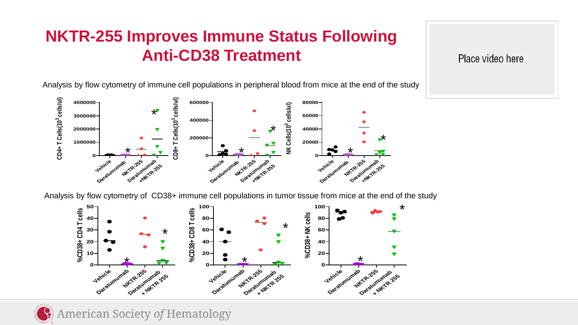#### **NKTR-255 Improves Immune Status Following Anti-CD38 Treatment**

Place video here

Analysis by flow cytometry of immune cell populations in peripheral blood from mice at the end of the study



Analysis by flow cytometry of CD38+ immune cell populations in tumor tissue from mice at the end of the study



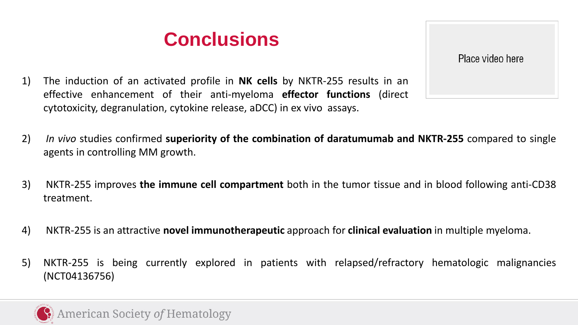## **Conclusions**

- 1) The induction of an activated profile in **NK cells** by NKTR-255 results in an effective enhancement of their anti-myeloma **effector functions** (direct cytotoxicity, degranulation, cytokine release, aDCC) in ex vivo assays.
- 2) *In vivo* studies confirmed **superiority of the combination of daratumumab and NKTR-255** compared to single agents in controlling MM growth.
- 3) NKTR-255 improves **the immune cell compartment** both in the tumor tissue and in blood following anti-CD38 treatment.
- 4) NKTR-255 is an attractive **novel immunotherapeutic** approach for **clinical evaluation** in multiple myeloma.
- 5) NKTR-255 is being currently explored in patients with relapsed/refractory hematologic malignancies (NCT04136756)